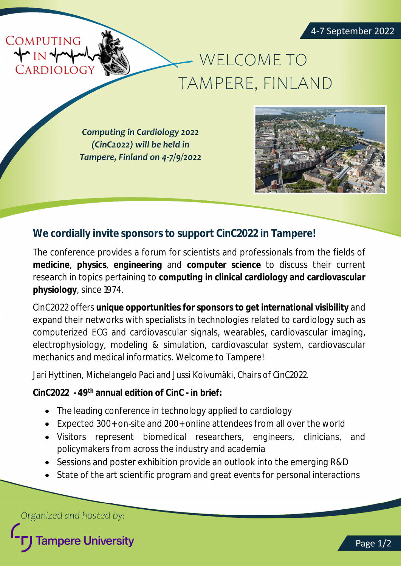

## - WELCOME TO TAMPERE, FINLAND

**Computing in Cardiology 2022** (CinC2022) will be held in Tampere, Finland on 4-7/9/2022



## **We cordially invite sponsors to support CinC2022 in Tampere!**

The conference provides a forum for scientists and professionals from the fields of **medicine**, **physics**, **engineering** and **computer science** to discuss their current research in topics pertaining to **computing in clinical cardiology and cardiovascular physiology**, since 1974.

CinC2022 offers **unique opportunities for sponsors to get international visibility** and expand their networks with specialists in technologies related to cardiology such as computerized ECG and cardiovascular signals, wearables, cardiovascular imaging, electrophysiology, modeling & simulation, cardiovascular system, cardiovascular mechanics and medical informatics. Welcome to Tampere!

*Jari Hyttinen, Michelangelo Paci and Jussi Koivumäki, Chairs of CinC2022.*

**CinC2022 - 49th annual edition of CinC - in brief:**

- The leading conference in technology applied to cardiology
- Expected 300+ on-site and 200+ online attendees from all over the world
- Visitors represent biomedical researchers, engineers, clinicians, and policymakers from across the industry and academia
- Sessions and poster exhibition provide an outlook into the emerging R&D
- State of the art scientific program and great events for personal interactions

Organized and hosted by:

**Fampere University**